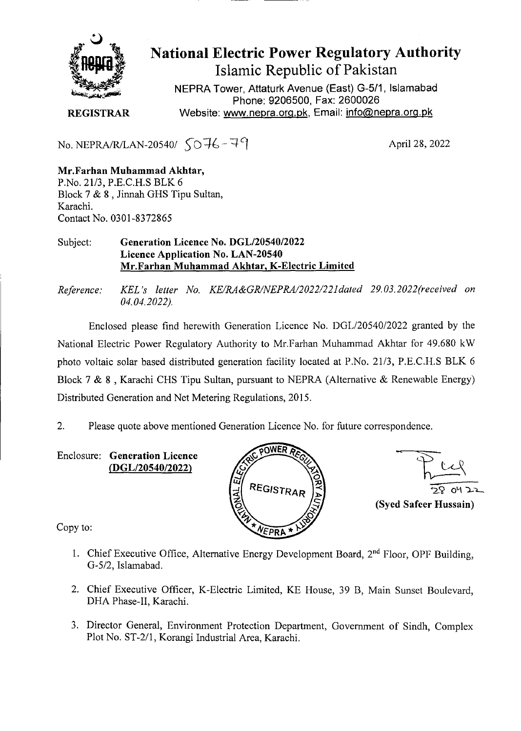

**National Electric Power Regulatory Authority Islamic Republic of Pakistan** 

NEPRA Tower, Attaturk Avenue (East) G-5/1, Islamabad Phone: 9206500, Fax: 2600026 **REGISTRAR** Website: www.nepra.org.pk, Email: info@nepra.org.pk

No. NEPRA/R/LAN-20540/  $\sqrt{0.76 - 7}$ 

**Mr.Farhan Muhammad Akhtar,**  P.No. 2 1/3, P.E.C.H.S BLK 6 Block 7 & 8, Jinnah GHS Tipu Sultan, Karachi. Contact No. 0301-8372865

## Subject: **Generation Licence No. DGL/20540/2022 Licence Application No. LAN-20540 Mr.Farhan Muhammad Akhtar, K-Electric Limited**

*Reference. KEL 's letter No. KE/RA&GR/NEPRA/2022/22ldated 29.03. 2022('received on 04.04.2022).* 

Enclosed please find herewith Generation Licence No. DGL/20540/2022 granted by the National Electric Power Regulatory Authority to Mr.Farhan Muhammad Akhtar for 49.680 kW photo voltaic solar based distributed generation facility located at P.No. 21/3, P.E.C.ILS BLK 6 Block 7 & 8 , Karachi CHS Tipu Sultan, pursuant to NEPRA (Alternative & Renewable Energy) Distributed Generation and Net Metering Regulations, 2015.

2. Please quote above mentioned Generation Licence No. for future correspondence.

Enclosure: **Generation Licence (DGL/20540/2022)** 





Copy to:

- 1. Chief Executive Office, Alternative Energy Development Board, **2uid** Floor, OPF Building, G-5/2, Islamabad.
- 2. Chief Executive Officer, K-Electric Limited, KE House, 39 B, Main Sunset Boulevard, DHA Phase-Il, Karachi.
- 3. Director General, Environment Protection Department, Government of Sindh, Complex Plot No. ST-2/l, Korangi Industrial Area, Karachi.